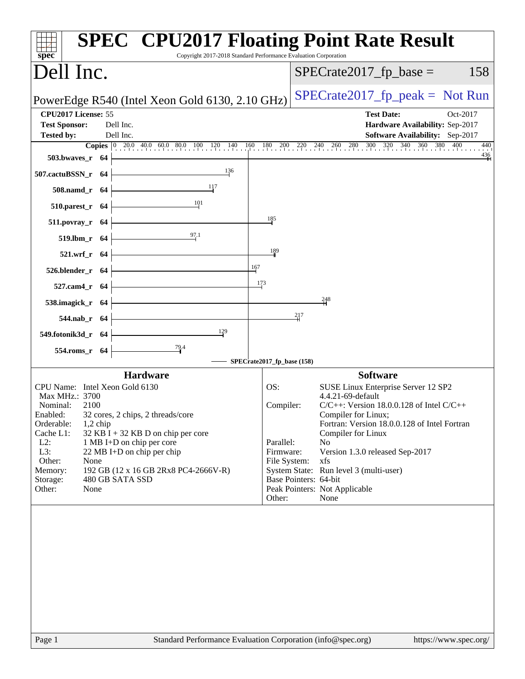| Copyright 2017-2018 Standard Performance Evaluation Corporation<br>$spec^*$                | <b>SPEC<sup>®</sup> CPU2017 Floating Point Rate Result</b>                                                                                                                                                  |
|--------------------------------------------------------------------------------------------|-------------------------------------------------------------------------------------------------------------------------------------------------------------------------------------------------------------|
| Dell Inc.                                                                                  | $SPECrate2017_fp\_base =$<br>158                                                                                                                                                                            |
| PowerEdge R540 (Intel Xeon Gold 6130, 2.10 GHz)                                            | $SPECrate2017_fp\_peak = Not Run$                                                                                                                                                                           |
| CPU2017 License: 55<br><b>Test Sponsor:</b><br>Dell Inc.<br>Dell Inc.<br><b>Tested by:</b> | <b>Test Date:</b><br>Oct-2017<br>Hardware Availability: Sep-2017<br>Software Availability: Sep-2017                                                                                                         |
| 503.bwaves_r 64                                                                            | <b>Copies</b> $\begin{bmatrix} 0 & 20.0 & 40.0 & 60.0 & 80.0 & 100 & 120 & 140 & 160 & 180 & 200 & 220 & 240 & 260 & 280 & 300 & 320 & 340 & 360 & 380 & 400 & 440 \end{bmatrix}$<br>440<br>$\frac{436}{4}$ |
| 136<br>507.cactuBSSN_r 64                                                                  |                                                                                                                                                                                                             |
| <u>1</u> 17<br>508.namd_r 64                                                               |                                                                                                                                                                                                             |
| 101<br>$510.parest_r$ 64                                                                   |                                                                                                                                                                                                             |
| 511.povray_r 64                                                                            | 185                                                                                                                                                                                                         |
| 97.1<br>519.lbm_r 64                                                                       |                                                                                                                                                                                                             |
| 521.wrf_r 64                                                                               | 189                                                                                                                                                                                                         |
| 167<br>526.blender_r 64                                                                    |                                                                                                                                                                                                             |
| 173<br>527.cam4_r 64                                                                       |                                                                                                                                                                                                             |
| 538.imagick_r 64                                                                           | $\frac{248}{4}$                                                                                                                                                                                             |
| 544.nab_r 64                                                                               | 217                                                                                                                                                                                                         |
| 129<br>549.fotonik3d_r 64                                                                  |                                                                                                                                                                                                             |
| $\frac{79.4}{ }$<br>554.roms_r 64                                                          | SPECrate2017_fp_base (158)                                                                                                                                                                                  |
| <b>Hardware</b>                                                                            | <b>Software</b>                                                                                                                                                                                             |
| CPU Name: Intel Xeon Gold 6130                                                             | OS:<br>SUSE Linux Enterprise Server 12 SP2                                                                                                                                                                  |
| Max MHz.: 3700<br>Nominal:<br>2100                                                         | 4.4.21-69-default<br>$C/C++$ : Version 18.0.0.128 of Intel $C/C++$<br>Compiler:                                                                                                                             |
| Enabled:<br>32 cores, 2 chips, 2 threads/core                                              | Compiler for Linux;                                                                                                                                                                                         |
| Orderable:<br>$1,2$ chip<br>Cache L1:<br>$32$ KB I + 32 KB D on chip per core              | Fortran: Version 18.0.0.128 of Intel Fortran<br>Compiler for Linux                                                                                                                                          |
| $L2$ :<br>1 MB I+D on chip per core                                                        | Parallel:<br>N <sub>0</sub>                                                                                                                                                                                 |
| L3:<br>22 MB I+D on chip per chip<br>Other:<br>None                                        | Firmware:<br>Version 1.3.0 released Sep-2017<br>xfs                                                                                                                                                         |
| Memory:<br>192 GB (12 x 16 GB 2Rx8 PC4-2666V-R)                                            | File System:<br>System State: Run level 3 (multi-user)                                                                                                                                                      |
| Storage:<br>480 GB SATA SSD                                                                | Base Pointers: 64-bit                                                                                                                                                                                       |
| Other:<br>None                                                                             | Peak Pointers: Not Applicable<br>Other:<br>None                                                                                                                                                             |
|                                                                                            |                                                                                                                                                                                                             |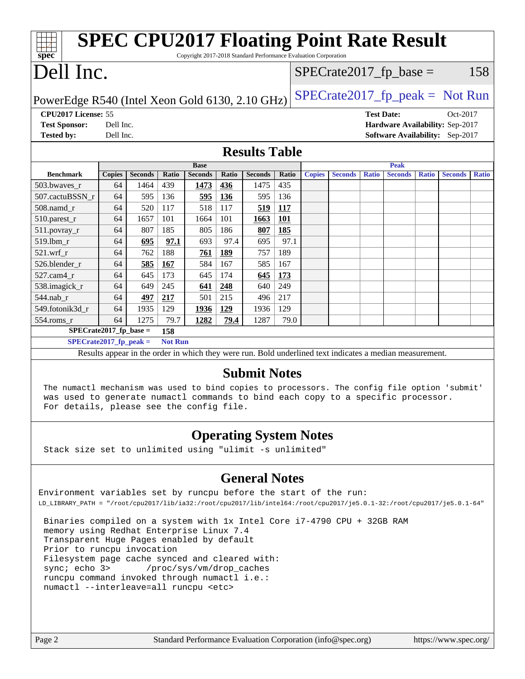| <b>SPEC CPU2017 Floating Point Rate Result</b><br>spec<br>Copyright 2017-2018 Standard Performance Evaluation Corporation                                                                               |               |                |       |                |       |                      |            |               |                |                   |                |              |                                 |              |
|---------------------------------------------------------------------------------------------------------------------------------------------------------------------------------------------------------|---------------|----------------|-------|----------------|-------|----------------------|------------|---------------|----------------|-------------------|----------------|--------------|---------------------------------|--------------|
| Dell Inc.<br>158<br>$SPECrate2017_fp\_base =$                                                                                                                                                           |               |                |       |                |       |                      |            |               |                |                   |                |              |                                 |              |
| $SPECrate2017_fp\_peak = Not Run$<br>PowerEdge R540 (Intel Xeon Gold 6130, 2.10 GHz)                                                                                                                    |               |                |       |                |       |                      |            |               |                |                   |                |              |                                 |              |
| CPU2017 License: 55                                                                                                                                                                                     |               |                |       |                |       |                      |            |               |                | <b>Test Date:</b> |                |              | Oct-2017                        |              |
| <b>Test Sponsor:</b>                                                                                                                                                                                    | Dell Inc.     |                |       |                |       |                      |            |               |                |                   |                |              | Hardware Availability: Sep-2017 |              |
| <b>Tested by:</b>                                                                                                                                                                                       | Dell Inc.     |                |       |                |       |                      |            |               |                |                   |                |              | Software Availability: Sep-2017 |              |
|                                                                                                                                                                                                         |               |                |       |                |       | <b>Results Table</b> |            |               |                |                   |                |              |                                 |              |
|                                                                                                                                                                                                         |               |                |       | <b>Base</b>    |       |                      |            |               |                |                   | <b>Peak</b>    |              |                                 |              |
| <b>Benchmark</b>                                                                                                                                                                                        | <b>Copies</b> | <b>Seconds</b> | Ratio | <b>Seconds</b> | Ratio | <b>Seconds</b>       | Ratio      | <b>Copies</b> | <b>Seconds</b> | <b>Ratio</b>      | <b>Seconds</b> | <b>Ratio</b> | <b>Seconds</b>                  | <b>Ratio</b> |
| 503.bwaves_r                                                                                                                                                                                            | 64            | 1464           | 439   | 1473           | 436   | 1475                 | 435        |               |                |                   |                |              |                                 |              |
| 507.cactuBSSN_r                                                                                                                                                                                         | 64            | 595            | 136   | 595            | 136   | 595                  | 136        |               |                |                   |                |              |                                 |              |
| 508.namd_r                                                                                                                                                                                              | 64            | 520            | 117   | 518            | 117   | 519                  | <b>117</b> |               |                |                   |                |              |                                 |              |
| 510.parest_r                                                                                                                                                                                            | 64            | 1657           | 101   | 1664           | 101   | 1663                 | <b>101</b> |               |                |                   |                |              |                                 |              |
| 511.povray_r                                                                                                                                                                                            | 64            | 807            | 185   | 805            | 186   | 807                  | 185        |               |                |                   |                |              |                                 |              |
| 519.lbm r                                                                                                                                                                                               | 64            | 695            | 97.1  | 693            | 97.4  | 695                  | 97.1       |               |                |                   |                |              |                                 |              |
| $521.wrf$ r                                                                                                                                                                                             | 64            | 762            | 188   | 761            | 189   | 757                  | 189        |               |                |                   |                |              |                                 |              |
| 526.blender_r                                                                                                                                                                                           | 64            | 585            | 167   | 584            | 167   | 585                  | 167        |               |                |                   |                |              |                                 |              |
| 527.cam4_r                                                                                                                                                                                              | 64            | 645            | 173   | 645            | 174   | 645                  | 173        |               |                |                   |                |              |                                 |              |
| 538.imagick_r                                                                                                                                                                                           | 64            | 649            | 245   | 641            | 248   | 640                  | 249        |               |                |                   |                |              |                                 |              |
| 544.nab_r                                                                                                                                                                                               | 64            | 497            | 217   | 501            | 215   | 496                  | 217        |               |                |                   |                |              |                                 |              |
| 549.fotonik3d r                                                                                                                                                                                         | 64            | 1935           | 129   | 1936           | 129   | 1936                 | 129        |               |                |                   |                |              |                                 |              |
| 554.roms_r                                                                                                                                                                                              | 64            | 1275           | 79.7  | 1282           | 79.4  | 1287                 | 79.0       |               |                |                   |                |              |                                 |              |
| $SPECrate2017_fp\_base =$                                                                                                                                                                               |               |                | 158   |                |       |                      |            |               |                |                   |                |              |                                 |              |
| $SPECrate2017_fp\_peak =$<br><b>Not Run</b>                                                                                                                                                             |               |                |       |                |       |                      |            |               |                |                   |                |              |                                 |              |
| Results appear in the order in which they were run. Bold underlined text indicates a median measurement.                                                                                                |               |                |       |                |       |                      |            |               |                |                   |                |              |                                 |              |
| <b>Submit Notes</b><br>The numactl mechanism was used to bind copies to processors. The config file option 'submit'<br>was used to generate numactl commands to bind each copy to a specific processor. |               |                |       |                |       |                      |            |               |                |                   |                |              |                                 |              |

### **[Operating System Notes](http://www.spec.org/auto/cpu2017/Docs/result-fields.html#OperatingSystemNotes)**

Stack size set to unlimited using "ulimit -s unlimited"

For details, please see the config file.

## **[General Notes](http://www.spec.org/auto/cpu2017/Docs/result-fields.html#GeneralNotes)**

Environment variables set by runcpu before the start of the run: LD\_LIBRARY\_PATH = "/root/cpu2017/lib/ia32:/root/cpu2017/lib/intel64:/root/cpu2017/je5.0.1-32:/root/cpu2017/je5.0.1-64"

 Binaries compiled on a system with 1x Intel Core i7-4790 CPU + 32GB RAM memory using Redhat Enterprise Linux 7.4 Transparent Huge Pages enabled by default Prior to runcpu invocation Filesystem page cache synced and cleared with: sync; echo 3> /proc/sys/vm/drop\_caches runcpu command invoked through numactl i.e.: numactl --interleave=all runcpu <etc>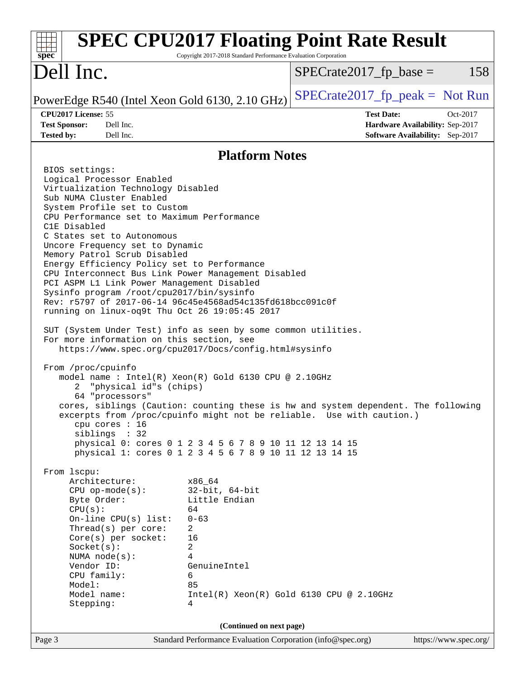| Dell Inc.<br>158<br>$SPECrate2017_fp\_base =$<br>$SPECrate2017_fp\_peak = Not Run$<br>PowerEdge R540 (Intel Xeon Gold 6130, 2.10 GHz)<br>CPU2017 License: 55<br><b>Test Date:</b><br>Oct-2017<br><b>Test Sponsor:</b><br>Dell Inc.<br>Hardware Availability: Sep-2017<br>Dell Inc.<br>Software Availability: Sep-2017<br><b>Tested by:</b><br><b>Platform Notes</b><br>BIOS settings:<br>Logical Processor Enabled<br>Virtualization Technology Disabled<br>Sub NUMA Cluster Enabled<br>System Profile set to Custom<br>CPU Performance set to Maximum Performance<br>C1E Disabled<br>C States set to Autonomous<br>Uncore Frequency set to Dynamic<br>Memory Patrol Scrub Disabled<br>Energy Efficiency Policy set to Performance<br>CPU Interconnect Bus Link Power Management Disabled<br>PCI ASPM L1 Link Power Management Disabled<br>Sysinfo program /root/cpu2017/bin/sysinfo<br>Rev: r5797 of 2017-06-14 96c45e4568ad54c135fd618bcc091c0f<br>running on linux-oq9t Thu Oct 26 19:05:45 2017<br>SUT (System Under Test) info as seen by some common utilities.<br>For more information on this section, see<br>https://www.spec.org/cpu2017/Docs/config.html#sysinfo<br>From /proc/cpuinfo<br>model name: Intel(R) Xeon(R) Gold 6130 CPU @ 2.10GHz<br>"physical id"s (chips)<br>2<br>64 "processors"<br>cores, siblings (Caution: counting these is hw and system dependent. The following<br>excerpts from /proc/cpuinfo might not be reliable. Use with caution.)<br>cpu cores : 16<br>siblings : 32<br>physical 0: cores 0 1 2 3 4 5 6 7 8 9 10 11 12 13 14 15<br>physical 1: cores 0 1 2 3 4 5 6 7 8 9 10 11 12 13 14 15<br>From lscpu:<br>Architecture:<br>x86_64<br>$32$ -bit, $64$ -bit<br>$CPU$ op-mode( $s$ ):<br>Little Endian<br>Byte Order:<br>CPU(s):<br>64<br>On-line CPU(s) list:<br>$0 - 63$<br>Thread(s) per core:<br>2<br>Core(s) per socket:<br>16<br>Socket(s):<br>2<br>NUMA $node(s):$<br>4<br>Vendor ID:<br>GenuineIntel<br>CPU family:<br>6<br>Model:<br>85<br>Model name:<br>$Intel(R)$ Xeon $(R)$ Gold 6130 CPU @ 2.10GHz<br>Stepping:<br>4<br>(Continued on next page)<br>Standard Performance Evaluation Corporation (info@spec.org)<br>Page 3<br>https://www.spec.org/ | <b>SPEC CPU2017 Floating Point Rate Result</b><br>$spec^*$ | Copyright 2017-2018 Standard Performance Evaluation Corporation |  |
|-----------------------------------------------------------------------------------------------------------------------------------------------------------------------------------------------------------------------------------------------------------------------------------------------------------------------------------------------------------------------------------------------------------------------------------------------------------------------------------------------------------------------------------------------------------------------------------------------------------------------------------------------------------------------------------------------------------------------------------------------------------------------------------------------------------------------------------------------------------------------------------------------------------------------------------------------------------------------------------------------------------------------------------------------------------------------------------------------------------------------------------------------------------------------------------------------------------------------------------------------------------------------------------------------------------------------------------------------------------------------------------------------------------------------------------------------------------------------------------------------------------------------------------------------------------------------------------------------------------------------------------------------------------------------------------------------------------------------------------------------------------------------------------------------------------------------------------------------------------------------------------------------------------------------------------------------------------------------------------------------------------------------------------------------------------------------------------------------------------------------------------------------------------------------------------------------------------|------------------------------------------------------------|-----------------------------------------------------------------|--|
|                                                                                                                                                                                                                                                                                                                                                                                                                                                                                                                                                                                                                                                                                                                                                                                                                                                                                                                                                                                                                                                                                                                                                                                                                                                                                                                                                                                                                                                                                                                                                                                                                                                                                                                                                                                                                                                                                                                                                                                                                                                                                                                                                                                                           |                                                            |                                                                 |  |
|                                                                                                                                                                                                                                                                                                                                                                                                                                                                                                                                                                                                                                                                                                                                                                                                                                                                                                                                                                                                                                                                                                                                                                                                                                                                                                                                                                                                                                                                                                                                                                                                                                                                                                                                                                                                                                                                                                                                                                                                                                                                                                                                                                                                           |                                                            |                                                                 |  |
|                                                                                                                                                                                                                                                                                                                                                                                                                                                                                                                                                                                                                                                                                                                                                                                                                                                                                                                                                                                                                                                                                                                                                                                                                                                                                                                                                                                                                                                                                                                                                                                                                                                                                                                                                                                                                                                                                                                                                                                                                                                                                                                                                                                                           |                                                            |                                                                 |  |
|                                                                                                                                                                                                                                                                                                                                                                                                                                                                                                                                                                                                                                                                                                                                                                                                                                                                                                                                                                                                                                                                                                                                                                                                                                                                                                                                                                                                                                                                                                                                                                                                                                                                                                                                                                                                                                                                                                                                                                                                                                                                                                                                                                                                           |                                                            |                                                                 |  |
|                                                                                                                                                                                                                                                                                                                                                                                                                                                                                                                                                                                                                                                                                                                                                                                                                                                                                                                                                                                                                                                                                                                                                                                                                                                                                                                                                                                                                                                                                                                                                                                                                                                                                                                                                                                                                                                                                                                                                                                                                                                                                                                                                                                                           |                                                            |                                                                 |  |
|                                                                                                                                                                                                                                                                                                                                                                                                                                                                                                                                                                                                                                                                                                                                                                                                                                                                                                                                                                                                                                                                                                                                                                                                                                                                                                                                                                                                                                                                                                                                                                                                                                                                                                                                                                                                                                                                                                                                                                                                                                                                                                                                                                                                           |                                                            |                                                                 |  |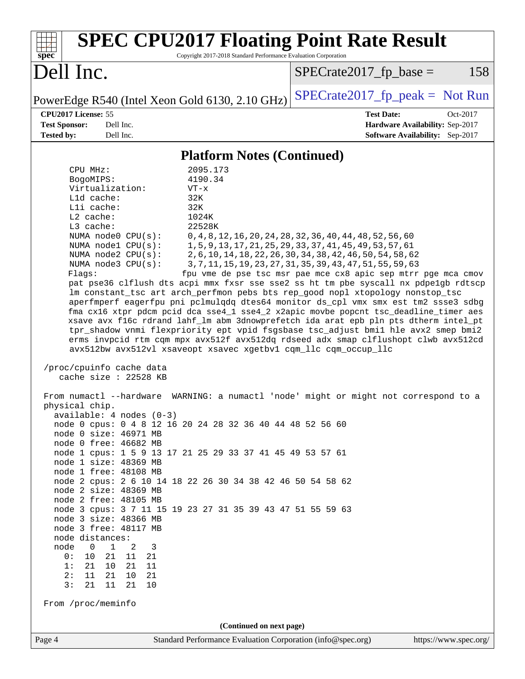| <b>SPEC CPU2017 Floating Point Rate Result</b><br>Copyright 2017-2018 Standard Performance Evaluation Corporation<br>$spec^*$                                                                                                                                                                                                                                                                                                                                                                                                                                                                                                                                                                                                                                                                                                                                                                                                                                                                                                                                                                                                                                                                                                                                                                                                                                                                                                                                                                                                                                                                                                                                                                                                                                                                                                                                               |                                                                                                                                                                                                                                                                                                                             |
|-----------------------------------------------------------------------------------------------------------------------------------------------------------------------------------------------------------------------------------------------------------------------------------------------------------------------------------------------------------------------------------------------------------------------------------------------------------------------------------------------------------------------------------------------------------------------------------------------------------------------------------------------------------------------------------------------------------------------------------------------------------------------------------------------------------------------------------------------------------------------------------------------------------------------------------------------------------------------------------------------------------------------------------------------------------------------------------------------------------------------------------------------------------------------------------------------------------------------------------------------------------------------------------------------------------------------------------------------------------------------------------------------------------------------------------------------------------------------------------------------------------------------------------------------------------------------------------------------------------------------------------------------------------------------------------------------------------------------------------------------------------------------------------------------------------------------------------------------------------------------------|-----------------------------------------------------------------------------------------------------------------------------------------------------------------------------------------------------------------------------------------------------------------------------------------------------------------------------|
| Dell Inc.                                                                                                                                                                                                                                                                                                                                                                                                                                                                                                                                                                                                                                                                                                                                                                                                                                                                                                                                                                                                                                                                                                                                                                                                                                                                                                                                                                                                                                                                                                                                                                                                                                                                                                                                                                                                                                                                   | $SPECrate2017fr base =$<br>158                                                                                                                                                                                                                                                                                              |
| PowerEdge R540 (Intel Xeon Gold 6130, 2.10 GHz)                                                                                                                                                                                                                                                                                                                                                                                                                                                                                                                                                                                                                                                                                                                                                                                                                                                                                                                                                                                                                                                                                                                                                                                                                                                                                                                                                                                                                                                                                                                                                                                                                                                                                                                                                                                                                             | $SPECrate2017_fp\_peak = Not Run$                                                                                                                                                                                                                                                                                           |
| CPU2017 License: 55<br><b>Test Sponsor:</b><br>Dell Inc.<br><b>Tested by:</b><br>Dell Inc.                                                                                                                                                                                                                                                                                                                                                                                                                                                                                                                                                                                                                                                                                                                                                                                                                                                                                                                                                                                                                                                                                                                                                                                                                                                                                                                                                                                                                                                                                                                                                                                                                                                                                                                                                                                  | <b>Test Date:</b><br>Oct-2017<br>Hardware Availability: Sep-2017<br>Software Availability: Sep-2017                                                                                                                                                                                                                         |
| <b>Platform Notes (Continued)</b>                                                                                                                                                                                                                                                                                                                                                                                                                                                                                                                                                                                                                                                                                                                                                                                                                                                                                                                                                                                                                                                                                                                                                                                                                                                                                                                                                                                                                                                                                                                                                                                                                                                                                                                                                                                                                                           |                                                                                                                                                                                                                                                                                                                             |
| CPU MHz:<br>2095.173<br>4190.34<br>BogoMIPS:<br>Virtualization:<br>$VT - x$<br>L1d cache:<br>32K<br>Lli cache:<br>32K<br>$L2$ cache:<br>1024K<br>22528K<br>L3 cache:<br>NUMA node0 CPU(s):<br>NUMA nodel CPU(s):<br>NUMA node2 CPU(s):<br>NUMA node3 CPU(s):<br>Flags:<br>pat pse36 clflush dts acpi mmx fxsr sse sse2 ss ht tm pbe syscall nx pdpelgb rdtscp<br>lm constant_tsc art arch_perfmon pebs bts rep_good nopl xtopology nonstop_tsc<br>aperfmperf eagerfpu pni pclmulqdq dtes64 monitor ds_cpl vmx smx est tm2 ssse3 sdbg<br>fma cx16 xtpr pdcm pcid dca sse4_1 sse4_2 x2apic movbe popcnt tsc_deadline_timer aes<br>xsave avx f16c rdrand lahf_lm abm 3dnowprefetch ida arat epb pln pts dtherm intel_pt<br>tpr_shadow vnmi flexpriority ept vpid fsgsbase tsc_adjust bmil hle avx2 smep bmi2<br>erms invpcid rtm cqm mpx avx512f avx512dq rdseed adx smap clflushopt clwb avx512cd<br>avx512bw avx512vl xsaveopt xsavec xgetbvl cqm_llc cqm_occup_llc<br>/proc/cpuinfo cache data<br>cache size : 22528 KB<br>From numactl --hardware WARNING: a numactl 'node' might or might not correspond to a<br>physical chip.<br>$available: 4 nodes (0-3)$<br>node 0 cpus: 0 4 8 12 16 20 24 28 32 36 40 44 48 52 56 60<br>node 0 size: 46971 MB<br>node 0 free: 46682 MB<br>node 1 cpus: 1 5 9 13 17 21 25 29 33 37 41 45 49 53 57 61<br>node 1 size: 48369 MB<br>node 1 free: 48108 MB<br>node 2 cpus: 2 6 10 14 18 22 26 30 34 38 42 46 50 54 58 62<br>node 2 size: 48369 MB<br>node 2 free: 48105 MB<br>node 3 cpus: 3 7 11 15 19 23 27 31 35 39 43 47 51 55 59 63<br>node 3 size: 48366 MB<br>node 3 free: 48117 MB<br>node distances:<br>node<br>$\overline{0}$<br>$\mathbf 1$<br>2<br>3<br>0 :<br>10<br>21<br>11<br>21<br>10 21<br>1:<br>21<br>11<br>2:<br>11<br>21<br>10<br>21<br>3:<br>11<br>21<br>21<br>10<br>From /proc/meminfo<br>(Continued on next page) | 0, 4, 8, 12, 16, 20, 24, 28, 32, 36, 40, 44, 48, 52, 56, 60<br>1, 5, 9, 13, 17, 21, 25, 29, 33, 37, 41, 45, 49, 53, 57, 61<br>2, 6, 10, 14, 18, 22, 26, 30, 34, 38, 42, 46, 50, 54, 58, 62<br>3, 7, 11, 15, 19, 23, 27, 31, 35, 39, 43, 47, 51, 55, 59, 63<br>fpu vme de pse tsc msr pae mce cx8 apic sep mtrr pge mca cmov |
| Standard Performance Evaluation Corporation (info@spec.org)<br>Page 4                                                                                                                                                                                                                                                                                                                                                                                                                                                                                                                                                                                                                                                                                                                                                                                                                                                                                                                                                                                                                                                                                                                                                                                                                                                                                                                                                                                                                                                                                                                                                                                                                                                                                                                                                                                                       | https://www.spec.org/                                                                                                                                                                                                                                                                                                       |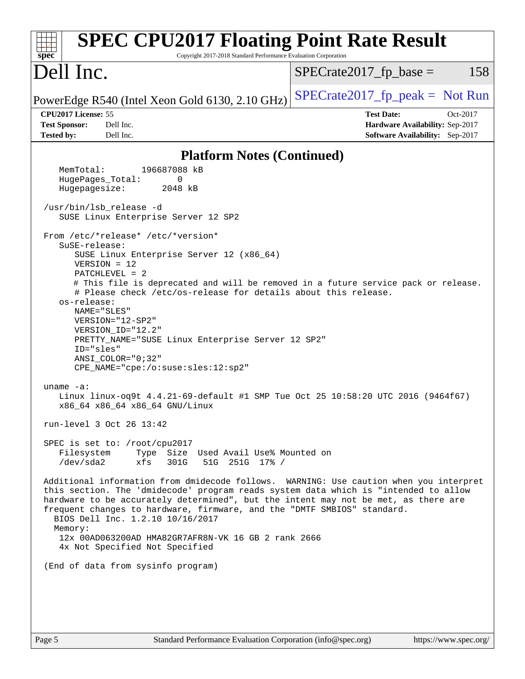| <b>SPEC CPU2017 Floating Point Rate Result</b><br>Copyright 2017-2018 Standard Performance Evaluation Corporation<br>spec <sup>®</sup>                                                                                                                                                                                                                                                                                                                                                                                                                                                                                                                                                                                                                                                                                                                                                                                                                                                                                                                                                                                                                                                                                                                                                                                                   |                                                                                                     |
|------------------------------------------------------------------------------------------------------------------------------------------------------------------------------------------------------------------------------------------------------------------------------------------------------------------------------------------------------------------------------------------------------------------------------------------------------------------------------------------------------------------------------------------------------------------------------------------------------------------------------------------------------------------------------------------------------------------------------------------------------------------------------------------------------------------------------------------------------------------------------------------------------------------------------------------------------------------------------------------------------------------------------------------------------------------------------------------------------------------------------------------------------------------------------------------------------------------------------------------------------------------------------------------------------------------------------------------|-----------------------------------------------------------------------------------------------------|
| Dell Inc.                                                                                                                                                                                                                                                                                                                                                                                                                                                                                                                                                                                                                                                                                                                                                                                                                                                                                                                                                                                                                                                                                                                                                                                                                                                                                                                                | $SPECrate2017fr base =$<br>158                                                                      |
| PowerEdge R540 (Intel Xeon Gold 6130, 2.10 GHz)                                                                                                                                                                                                                                                                                                                                                                                                                                                                                                                                                                                                                                                                                                                                                                                                                                                                                                                                                                                                                                                                                                                                                                                                                                                                                          | $SPECrate2017_fp_peak = Not Run$                                                                    |
| CPU2017 License: 55<br><b>Test Sponsor:</b><br>Dell Inc.<br><b>Tested by:</b><br>Dell Inc.                                                                                                                                                                                                                                                                                                                                                                                                                                                                                                                                                                                                                                                                                                                                                                                                                                                                                                                                                                                                                                                                                                                                                                                                                                               | <b>Test Date:</b><br>Oct-2017<br>Hardware Availability: Sep-2017<br>Software Availability: Sep-2017 |
| <b>Platform Notes (Continued)</b>                                                                                                                                                                                                                                                                                                                                                                                                                                                                                                                                                                                                                                                                                                                                                                                                                                                                                                                                                                                                                                                                                                                                                                                                                                                                                                        |                                                                                                     |
| 196687088 kB<br>MemTotal:                                                                                                                                                                                                                                                                                                                                                                                                                                                                                                                                                                                                                                                                                                                                                                                                                                                                                                                                                                                                                                                                                                                                                                                                                                                                                                                |                                                                                                     |
| HugePages_Total:<br>0<br>Hugepagesize:<br>2048 kB                                                                                                                                                                                                                                                                                                                                                                                                                                                                                                                                                                                                                                                                                                                                                                                                                                                                                                                                                                                                                                                                                                                                                                                                                                                                                        |                                                                                                     |
|                                                                                                                                                                                                                                                                                                                                                                                                                                                                                                                                                                                                                                                                                                                                                                                                                                                                                                                                                                                                                                                                                                                                                                                                                                                                                                                                          |                                                                                                     |
| /usr/bin/lsb release -d<br>SUSE Linux Enterprise Server 12 SP2                                                                                                                                                                                                                                                                                                                                                                                                                                                                                                                                                                                                                                                                                                                                                                                                                                                                                                                                                                                                                                                                                                                                                                                                                                                                           |                                                                                                     |
| From /etc/*release* /etc/*version*<br>SuSE-release:<br>SUSE Linux Enterprise Server 12 (x86_64)<br>$VERSION = 12$<br>$PATCHLEVEL = 2$<br># This file is deprecated and will be removed in a future service pack or release.<br># Please check /etc/os-release for details about this release.<br>os-release:<br>NAME="SLES"<br>VERSION="12-SP2"<br>VERSION_ID="12.2"<br>PRETTY_NAME="SUSE Linux Enterprise Server 12 SP2"<br>ID="sles"<br>ANSI COLOR="0;32"<br>CPE_NAME="cpe:/o:suse:sles:12:sp2"<br>uname $-a$ :<br>Linux linux-oq9t 4.4.21-69-default #1 SMP Tue Oct 25 10:58:20 UTC 2016 (9464f67)<br>x86_64 x86_64 x86_64 GNU/Linux<br>run-level 3 Oct 26 13:42<br>SPEC is set to: /root/cpu2017<br>Filesystem<br>Type Size Used Avail Use% Mounted on<br>/dev/sda2<br>51G 251G 17% /<br>xfs<br>301G<br>Additional information from dmidecode follows. WARNING: Use caution when you interpret<br>this section. The 'dmidecode' program reads system data which is "intended to allow<br>hardware to be accurately determined", but the intent may not be met, as there are<br>frequent changes to hardware, firmware, and the "DMTF SMBIOS" standard.<br>BIOS Dell Inc. 1.2.10 10/16/2017<br>Memory:<br>12x 00AD063200AD HMA82GR7AFR8N-VK 16 GB 2 rank 2666<br>4x Not Specified Not Specified<br>(End of data from sysinfo program) |                                                                                                     |
|                                                                                                                                                                                                                                                                                                                                                                                                                                                                                                                                                                                                                                                                                                                                                                                                                                                                                                                                                                                                                                                                                                                                                                                                                                                                                                                                          |                                                                                                     |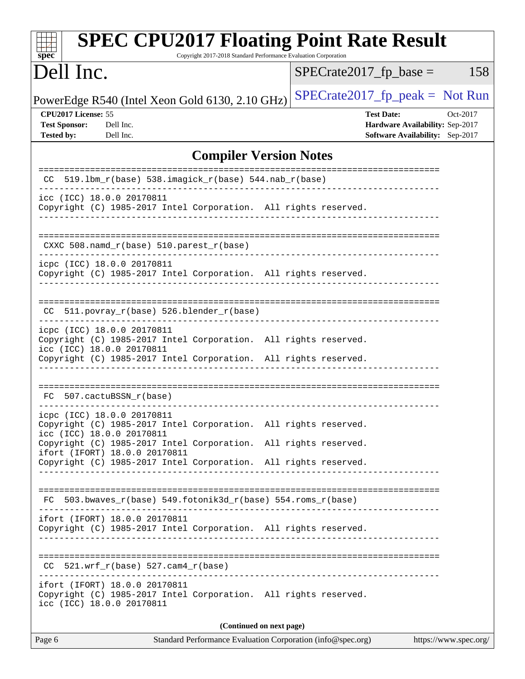| <b>SPEC CPU2017 Floating Point Rate Result</b><br>Copyright 2017-2018 Standard Performance Evaluation Corporation<br>spec <sup>®</sup>                                                        |                                                                                                     |  |  |  |  |
|-----------------------------------------------------------------------------------------------------------------------------------------------------------------------------------------------|-----------------------------------------------------------------------------------------------------|--|--|--|--|
| Dell Inc.                                                                                                                                                                                     | $SPECrate2017fr base =$<br>158                                                                      |  |  |  |  |
| PowerEdge R540 (Intel Xeon Gold 6130, 2.10 GHz)                                                                                                                                               | $SPECrate2017_fp\_peak = Not Run$                                                                   |  |  |  |  |
| CPU2017 License: 55<br><b>Test Sponsor:</b><br>Dell Inc.<br><b>Tested by:</b><br>Dell Inc.                                                                                                    | <b>Test Date:</b><br>Oct-2017<br>Hardware Availability: Sep-2017<br>Software Availability: Sep-2017 |  |  |  |  |
| <b>Compiler Version Notes</b>                                                                                                                                                                 |                                                                                                     |  |  |  |  |
| 519.1bm_r(base) 538.imagick_r(base) 544.nab_r(base)<br>CC.                                                                                                                                    | =======================                                                                             |  |  |  |  |
| icc (ICC) 18.0.0 20170811<br>Copyright (C) 1985-2017 Intel Corporation. All rights reserved.                                                                                                  |                                                                                                     |  |  |  |  |
| $CXXC 508.namd_r(base) 510.parest_r(base)$                                                                                                                                                    |                                                                                                     |  |  |  |  |
| icpc (ICC) 18.0.0 20170811<br>Copyright (C) 1985-2017 Intel Corporation. All rights reserved.                                                                                                 |                                                                                                     |  |  |  |  |
| 511.povray_r(base) 526.blender_r(base)<br>CC.                                                                                                                                                 |                                                                                                     |  |  |  |  |
| icpc (ICC) 18.0.0 20170811<br>Copyright (C) 1985-2017 Intel Corporation. All rights reserved.<br>icc (ICC) 18.0.0 20170811<br>Copyright (C) 1985-2017 Intel Corporation. All rights reserved. |                                                                                                     |  |  |  |  |
| FC 507.cactuBSSN_r(base)                                                                                                                                                                      |                                                                                                     |  |  |  |  |
| icpc (ICC) 18.0.0 20170811<br>Copyright (C) 1985-2017 Intel Corporation. All rights reserved.<br>icc (ICC) 18.0.0 20170811                                                                    |                                                                                                     |  |  |  |  |
| Copyright (C) 1985-2017 Intel Corporation.<br>ifort (IFORT) 18.0.0 20170811<br>Copyright (C) 1985-2017 Intel Corporation. All rights reserved.                                                | All rights reserved.                                                                                |  |  |  |  |
| FC 503.bwaves_r(base) 549.fotonik3d_r(base) 554.roms_r(base)                                                                                                                                  |                                                                                                     |  |  |  |  |
| ifort (IFORT) 18.0.0 20170811<br>Copyright (C) 1985-2017 Intel Corporation. All rights reserved.                                                                                              |                                                                                                     |  |  |  |  |
| $CC$ 521.wrf_r(base) 527.cam4_r(base)                                                                                                                                                         |                                                                                                     |  |  |  |  |
| ifort (IFORT) 18.0.0 20170811<br>Copyright (C) 1985-2017 Intel Corporation. All rights reserved.<br>icc (ICC) 18.0.0 20170811                                                                 |                                                                                                     |  |  |  |  |
| (Continued on next page)                                                                                                                                                                      |                                                                                                     |  |  |  |  |
| Page 6<br>Standard Performance Evaluation Corporation (info@spec.org)                                                                                                                         | https://www.spec.org/                                                                               |  |  |  |  |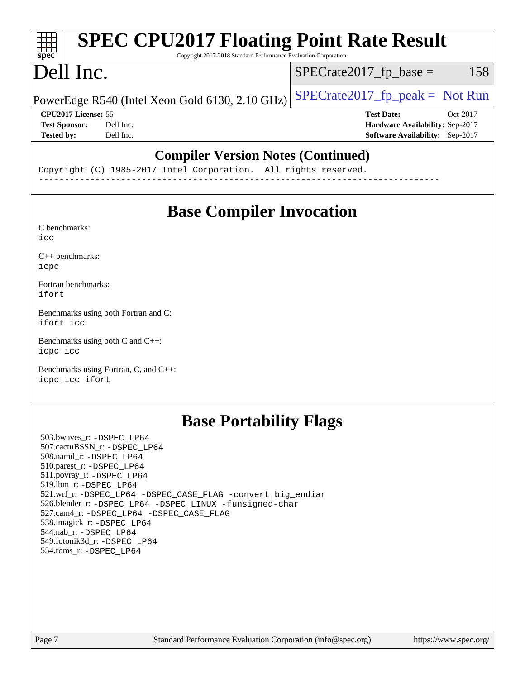#### **[SPEC CPU2017 Floating Point Rate Result](http://www.spec.org/auto/cpu2017/Docs/result-fields.html#SPECCPU2017FloatingPointRateResult)**  $\pm\pm\tau$ **[spec](http://www.spec.org/)** Copyright 2017-2018 Standard Performance Evaluation Corporation Dell Inc.  $SPECTate2017<sub>fr</sub> base = 158$ PowerEdge R540 (Intel Xeon Gold 6130, 2.10 GHz)  $\left|$  [SPECrate2017\\_fp\\_peak =](http://www.spec.org/auto/cpu2017/Docs/result-fields.html#SPECrate2017fppeak) Not Run **[CPU2017 License:](http://www.spec.org/auto/cpu2017/Docs/result-fields.html#CPU2017License)** 55 **[Test Date:](http://www.spec.org/auto/cpu2017/Docs/result-fields.html#TestDate)** Oct-2017 **[Test Sponsor:](http://www.spec.org/auto/cpu2017/Docs/result-fields.html#TestSponsor)** Dell Inc. **[Hardware Availability:](http://www.spec.org/auto/cpu2017/Docs/result-fields.html#HardwareAvailability)** Sep-2017 **[Tested by:](http://www.spec.org/auto/cpu2017/Docs/result-fields.html#Testedby)** Dell Inc. **[Software Availability:](http://www.spec.org/auto/cpu2017/Docs/result-fields.html#SoftwareAvailability)** Sep-2017 **[Compiler Version Notes \(Continued\)](http://www.spec.org/auto/cpu2017/Docs/result-fields.html#CompilerVersionNotes)**

Copyright (C) 1985-2017 Intel Corporation. All rights reserved. ------------------------------------------------------------------------------

# **[Base Compiler Invocation](http://www.spec.org/auto/cpu2017/Docs/result-fields.html#BaseCompilerInvocation)**

[C benchmarks](http://www.spec.org/auto/cpu2017/Docs/result-fields.html#Cbenchmarks): [icc](http://www.spec.org/cpu2017/results/res2017q4/cpu2017-20171127-00973.flags.html#user_CCbase_intel_icc_18.0_66fc1ee009f7361af1fbd72ca7dcefbb700085f36577c54f309893dd4ec40d12360134090235512931783d35fd58c0460139e722d5067c5574d8eaf2b3e37e92)

[C++ benchmarks:](http://www.spec.org/auto/cpu2017/Docs/result-fields.html#CXXbenchmarks) [icpc](http://www.spec.org/cpu2017/results/res2017q4/cpu2017-20171127-00973.flags.html#user_CXXbase_intel_icpc_18.0_c510b6838c7f56d33e37e94d029a35b4a7bccf4766a728ee175e80a419847e808290a9b78be685c44ab727ea267ec2f070ec5dc83b407c0218cded6866a35d07)

[Fortran benchmarks](http://www.spec.org/auto/cpu2017/Docs/result-fields.html#Fortranbenchmarks): [ifort](http://www.spec.org/cpu2017/results/res2017q4/cpu2017-20171127-00973.flags.html#user_FCbase_intel_ifort_18.0_8111460550e3ca792625aed983ce982f94888b8b503583aa7ba2b8303487b4d8a21a13e7191a45c5fd58ff318f48f9492884d4413fa793fd88dd292cad7027ca)

[Benchmarks using both Fortran and C](http://www.spec.org/auto/cpu2017/Docs/result-fields.html#BenchmarksusingbothFortranandC): [ifort](http://www.spec.org/cpu2017/results/res2017q4/cpu2017-20171127-00973.flags.html#user_CC_FCbase_intel_ifort_18.0_8111460550e3ca792625aed983ce982f94888b8b503583aa7ba2b8303487b4d8a21a13e7191a45c5fd58ff318f48f9492884d4413fa793fd88dd292cad7027ca) [icc](http://www.spec.org/cpu2017/results/res2017q4/cpu2017-20171127-00973.flags.html#user_CC_FCbase_intel_icc_18.0_66fc1ee009f7361af1fbd72ca7dcefbb700085f36577c54f309893dd4ec40d12360134090235512931783d35fd58c0460139e722d5067c5574d8eaf2b3e37e92)

[Benchmarks using both C and C++](http://www.spec.org/auto/cpu2017/Docs/result-fields.html#BenchmarksusingbothCandCXX): [icpc](http://www.spec.org/cpu2017/results/res2017q4/cpu2017-20171127-00973.flags.html#user_CC_CXXbase_intel_icpc_18.0_c510b6838c7f56d33e37e94d029a35b4a7bccf4766a728ee175e80a419847e808290a9b78be685c44ab727ea267ec2f070ec5dc83b407c0218cded6866a35d07) [icc](http://www.spec.org/cpu2017/results/res2017q4/cpu2017-20171127-00973.flags.html#user_CC_CXXbase_intel_icc_18.0_66fc1ee009f7361af1fbd72ca7dcefbb700085f36577c54f309893dd4ec40d12360134090235512931783d35fd58c0460139e722d5067c5574d8eaf2b3e37e92)

[Benchmarks using Fortran, C, and C++:](http://www.spec.org/auto/cpu2017/Docs/result-fields.html#BenchmarksusingFortranCandCXX) [icpc](http://www.spec.org/cpu2017/results/res2017q4/cpu2017-20171127-00973.flags.html#user_CC_CXX_FCbase_intel_icpc_18.0_c510b6838c7f56d33e37e94d029a35b4a7bccf4766a728ee175e80a419847e808290a9b78be685c44ab727ea267ec2f070ec5dc83b407c0218cded6866a35d07) [icc](http://www.spec.org/cpu2017/results/res2017q4/cpu2017-20171127-00973.flags.html#user_CC_CXX_FCbase_intel_icc_18.0_66fc1ee009f7361af1fbd72ca7dcefbb700085f36577c54f309893dd4ec40d12360134090235512931783d35fd58c0460139e722d5067c5574d8eaf2b3e37e92) [ifort](http://www.spec.org/cpu2017/results/res2017q4/cpu2017-20171127-00973.flags.html#user_CC_CXX_FCbase_intel_ifort_18.0_8111460550e3ca792625aed983ce982f94888b8b503583aa7ba2b8303487b4d8a21a13e7191a45c5fd58ff318f48f9492884d4413fa793fd88dd292cad7027ca)

## **[Base Portability Flags](http://www.spec.org/auto/cpu2017/Docs/result-fields.html#BasePortabilityFlags)**

 503.bwaves\_r: [-DSPEC\\_LP64](http://www.spec.org/cpu2017/results/res2017q4/cpu2017-20171127-00973.flags.html#suite_basePORTABILITY503_bwaves_r_DSPEC_LP64) 507.cactuBSSN\_r: [-DSPEC\\_LP64](http://www.spec.org/cpu2017/results/res2017q4/cpu2017-20171127-00973.flags.html#suite_basePORTABILITY507_cactuBSSN_r_DSPEC_LP64) 508.namd\_r: [-DSPEC\\_LP64](http://www.spec.org/cpu2017/results/res2017q4/cpu2017-20171127-00973.flags.html#suite_basePORTABILITY508_namd_r_DSPEC_LP64) 510.parest\_r: [-DSPEC\\_LP64](http://www.spec.org/cpu2017/results/res2017q4/cpu2017-20171127-00973.flags.html#suite_basePORTABILITY510_parest_r_DSPEC_LP64) 511.povray\_r: [-DSPEC\\_LP64](http://www.spec.org/cpu2017/results/res2017q4/cpu2017-20171127-00973.flags.html#suite_basePORTABILITY511_povray_r_DSPEC_LP64) 519.lbm\_r: [-DSPEC\\_LP64](http://www.spec.org/cpu2017/results/res2017q4/cpu2017-20171127-00973.flags.html#suite_basePORTABILITY519_lbm_r_DSPEC_LP64) 521.wrf\_r: [-DSPEC\\_LP64](http://www.spec.org/cpu2017/results/res2017q4/cpu2017-20171127-00973.flags.html#suite_basePORTABILITY521_wrf_r_DSPEC_LP64) [-DSPEC\\_CASE\\_FLAG](http://www.spec.org/cpu2017/results/res2017q4/cpu2017-20171127-00973.flags.html#b521.wrf_r_baseCPORTABILITY_DSPEC_CASE_FLAG) [-convert big\\_endian](http://www.spec.org/cpu2017/results/res2017q4/cpu2017-20171127-00973.flags.html#user_baseFPORTABILITY521_wrf_r_convert_big_endian_c3194028bc08c63ac5d04de18c48ce6d347e4e562e8892b8bdbdc0214820426deb8554edfa529a3fb25a586e65a3d812c835984020483e7e73212c4d31a38223) 526.blender\_r: [-DSPEC\\_LP64](http://www.spec.org/cpu2017/results/res2017q4/cpu2017-20171127-00973.flags.html#suite_basePORTABILITY526_blender_r_DSPEC_LP64) [-DSPEC\\_LINUX](http://www.spec.org/cpu2017/results/res2017q4/cpu2017-20171127-00973.flags.html#b526.blender_r_baseCPORTABILITY_DSPEC_LINUX) [-funsigned-char](http://www.spec.org/cpu2017/results/res2017q4/cpu2017-20171127-00973.flags.html#user_baseCPORTABILITY526_blender_r_force_uchar_40c60f00ab013830e2dd6774aeded3ff59883ba5a1fc5fc14077f794d777847726e2a5858cbc7672e36e1b067e7e5c1d9a74f7176df07886a243d7cc18edfe67) 527.cam4\_r: [-DSPEC\\_LP64](http://www.spec.org/cpu2017/results/res2017q4/cpu2017-20171127-00973.flags.html#suite_basePORTABILITY527_cam4_r_DSPEC_LP64) [-DSPEC\\_CASE\\_FLAG](http://www.spec.org/cpu2017/results/res2017q4/cpu2017-20171127-00973.flags.html#b527.cam4_r_baseCPORTABILITY_DSPEC_CASE_FLAG) 538.imagick\_r: [-DSPEC\\_LP64](http://www.spec.org/cpu2017/results/res2017q4/cpu2017-20171127-00973.flags.html#suite_basePORTABILITY538_imagick_r_DSPEC_LP64) 544.nab\_r: [-DSPEC\\_LP64](http://www.spec.org/cpu2017/results/res2017q4/cpu2017-20171127-00973.flags.html#suite_basePORTABILITY544_nab_r_DSPEC_LP64) 549.fotonik3d\_r: [-DSPEC\\_LP64](http://www.spec.org/cpu2017/results/res2017q4/cpu2017-20171127-00973.flags.html#suite_basePORTABILITY549_fotonik3d_r_DSPEC_LP64) 554.roms\_r: [-DSPEC\\_LP64](http://www.spec.org/cpu2017/results/res2017q4/cpu2017-20171127-00973.flags.html#suite_basePORTABILITY554_roms_r_DSPEC_LP64)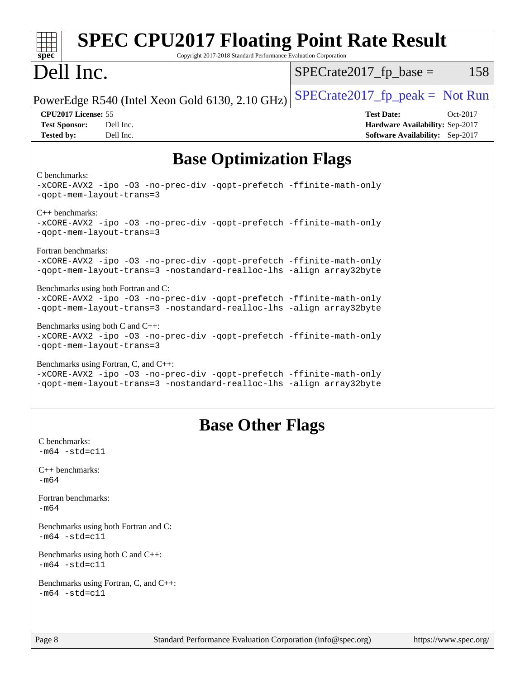| <b>SPEC CPU2017 Floating Point Rate Result</b><br>Copyright 2017-2018 Standard Performance Evaluation Corporation<br>spec <sup>®</sup>                                              |                                                                                                     |
|-------------------------------------------------------------------------------------------------------------------------------------------------------------------------------------|-----------------------------------------------------------------------------------------------------|
| Dell Inc.                                                                                                                                                                           | $SPECrate2017fr base =$<br>158                                                                      |
| PowerEdge R540 (Intel Xeon Gold 6130, 2.10 GHz)                                                                                                                                     | $SPECrate2017_fp\_peak = Not Run$                                                                   |
| CPU2017 License: 55<br><b>Test Sponsor:</b><br>Dell Inc.<br>Dell Inc.<br><b>Tested by:</b>                                                                                          | <b>Test Date:</b><br>Oct-2017<br>Hardware Availability: Sep-2017<br>Software Availability: Sep-2017 |
| <b>Base Optimization Flags</b>                                                                                                                                                      |                                                                                                     |
| C benchmarks:<br>-xCORE-AVX2 -ipo -03 -no-prec-div -qopt-prefetch -ffinite-math-only<br>-qopt-mem-layout-trans=3                                                                    |                                                                                                     |
| $C_{++}$ benchmarks:<br>-xCORE-AVX2 -ipo -03 -no-prec-div -qopt-prefetch -ffinite-math-only<br>-gopt-mem-layout-trans=3                                                             |                                                                                                     |
| Fortran benchmarks:<br>-xCORE-AVX2 -ipo -03 -no-prec-div -qopt-prefetch -ffinite-math-only<br>-qopt-mem-layout-trans=3 -nostandard-realloc-lhs -align array32byte                   |                                                                                                     |
| Benchmarks using both Fortran and C:<br>-xCORE-AVX2 -ipo -03 -no-prec-div -qopt-prefetch -ffinite-math-only<br>-qopt-mem-layout-trans=3 -nostandard-realloc-lhs -align array32byte  |                                                                                                     |
| Benchmarks using both $C$ and $C_{++}$ :<br>-xCORE-AVX2 -ipo -03 -no-prec-div -qopt-prefetch -ffinite-math-only<br>-qopt-mem-layout-trans=3                                         |                                                                                                     |
| Benchmarks using Fortran, C, and C++:<br>-xCORE-AVX2 -ipo -03 -no-prec-div -qopt-prefetch -ffinite-math-only<br>-qopt-mem-layout-trans=3 -nostandard-realloc-lhs -align array32byte |                                                                                                     |
| <b>Base Other Flags</b>                                                                                                                                                             |                                                                                                     |
| C benchmarks:<br>$-m64 - std= c11$                                                                                                                                                  |                                                                                                     |
| $C++$ benchmarks:<br>$-m64$                                                                                                                                                         |                                                                                                     |
| Fortran benchmarks:<br>$-m64$                                                                                                                                                       |                                                                                                     |
| Benchmarks using both Fortran and C:<br>$-m64 - std= c11$                                                                                                                           |                                                                                                     |
| Benchmarks using both $C$ and $C_{++}$ :<br>$-m64 - std= c11$                                                                                                                       |                                                                                                     |
| Benchmarks using Fortran, C, and C++:<br>$-m64 - std = c11$                                                                                                                         |                                                                                                     |
| Standard Performance Evaluation Corporation (info@spec.org)<br>Page 8                                                                                                               | https://www.spec.org/                                                                               |